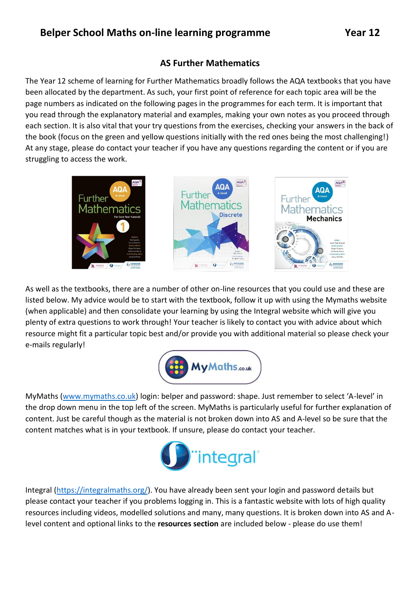## **AS Further Mathematics**

The Year 12 scheme of learning for Further Mathematics broadly follows the AQA textbooks that you have been allocated by the department. As such, your first point of reference for each topic area will be the page numbers as indicated on the following pages in the programmes for each term. It is important that you read through the explanatory material and examples, making your own notes as you proceed through each section. It is also vital that your try questions from the exercises, checking your answers in the back of the book (focus on the green and yellow questions initially with the red ones being the most challenging!) At any stage, please do contact your teacher if you have any questions regarding the content or if you are struggling to access the work.



As well as the textbooks, there are a number of other on-line resources that you could use and these are listed below. My advice would be to start with the textbook, follow it up with using the Mymaths website (when applicable) and then consolidate your learning by using the Integral website which will give you plenty of extra questions to work through! Your teacher is likely to contact you with advice about which resource might fit a particular topic best and/or provide you with additional material so please check your e-mails regularly!



MyMaths [\(www.mymaths.co.uk](http://www.mymaths.co.uk/)) login: belper and password: shape. Just remember to select 'A-level' in the drop down menu in the top left of the screen. MyMaths is particularly useful for further explanation of content. Just be careful though as the material is not broken down into AS and A-level so be sure that the content matches what is in your textbook. If unsure, please do contact your teacher.



Integral [\(https://integralmaths.org/\)](https://integralmaths.org/). You have already been sent your login and password details but please contact your teacher if you problems logging in. This is a fantastic website with lots of high quality resources including videos, modelled solutions and many, many questions. It is broken down into AS and Alevel content and optional links to the **resources section** are included below - please do use them!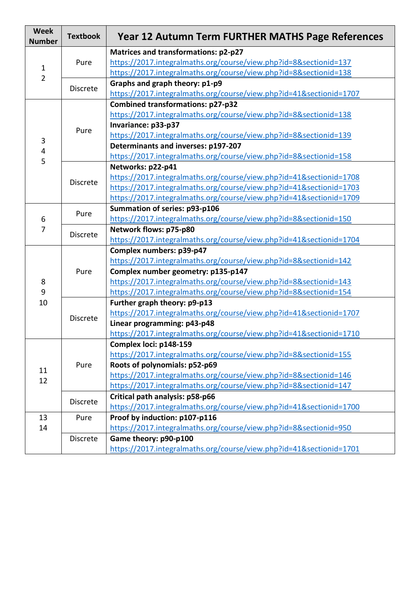| <b>Week</b><br><b>Number</b>   | <b>Textbook</b> | Year 12 Autumn Term FURTHER MATHS Page References                   |
|--------------------------------|-----------------|---------------------------------------------------------------------|
| $\mathbf{1}$<br>$\overline{2}$ | Pure            | Matrices and transformations: p2-p27                                |
|                                |                 | https://2017.integralmaths.org/course/view.php?id=8&sectionid=137   |
|                                |                 | https://2017.integralmaths.org/course/view.php?id=8&sectionid=138   |
|                                | <b>Discrete</b> | Graphs and graph theory: p1-p9                                      |
|                                |                 | https://2017.integralmaths.org/course/view.php?id=41&sectionid=1707 |
| 3<br>4                         | Pure            | <b>Combined transformations: p27-p32</b>                            |
|                                |                 | https://2017.integralmaths.org/course/view.php?id=8&sectionid=138   |
|                                |                 | Invariance: p33-p37                                                 |
|                                |                 | https://2017.integralmaths.org/course/view.php?id=8&sectionid=139   |
|                                |                 | Determinants and inverses: p197-207                                 |
| 5                              |                 | https://2017.integralmaths.org/course/view.php?id=8&sectionid=158   |
|                                | <b>Discrete</b> | Networks: p22-p41                                                   |
|                                |                 | https://2017.integralmaths.org/course/view.php?id=41&sectionid=1708 |
|                                |                 | https://2017.integralmaths.org/course/view.php?id=41&sectionid=1703 |
|                                |                 | https://2017.integralmaths.org/course/view.php?id=41&sectionid=1709 |
|                                | Pure            | Summation of series: p93-p106                                       |
| 6                              |                 | https://2017.integralmaths.org/course/view.php?id=8&sectionid=150   |
| 7                              | <b>Discrete</b> | Network flows: p75-p80                                              |
|                                |                 | https://2017.integralmaths.org/course/view.php?id=41&sectionid=1704 |
|                                | Pure            | Complex numbers: p39-p47                                            |
|                                |                 | https://2017.integralmaths.org/course/view.php?id=8&sectionid=142   |
|                                |                 | Complex number geometry: p135-p147                                  |
| 8                              |                 | https://2017.integralmaths.org/course/view.php?id=8&sectionid=143   |
| 9                              |                 | https://2017.integralmaths.org/course/view.php?id=8&sectionid=154   |
| 10                             | <b>Discrete</b> | Further graph theory: p9-p13                                        |
|                                |                 | https://2017.integralmaths.org/course/view.php?id=41&sectionid=1707 |
|                                |                 | Linear programming: p43-p48                                         |
|                                |                 | https://2017.integralmaths.org/course/view.php?id=41&sectionid=1710 |
|                                | Pure            | Complex loci: p148-159                                              |
|                                |                 | https://2017.integralmaths.org/course/view.php?id=8&sectionid=155   |
| 11                             |                 | Roots of polynomials: p52-p69                                       |
| 12                             |                 | https://2017.integralmaths.org/course/view.php?id=8&sectionid=146   |
|                                |                 | https://2017.integralmaths.org/course/view.php?id=8&sectionid=147   |
|                                | <b>Discrete</b> | Critical path analysis: p58-p66                                     |
|                                |                 | https://2017.integralmaths.org/course/view.php?id=41&sectionid=1700 |
| 13                             | Pure            | Proof by induction: p107-p116                                       |
| 14                             |                 | https://2017.integralmaths.org/course/view.php?id=8&sectionid=950   |
|                                | <b>Discrete</b> | Game theory: p90-p100                                               |
|                                |                 | https://2017.integralmaths.org/course/view.php?id=41&sectionid=1701 |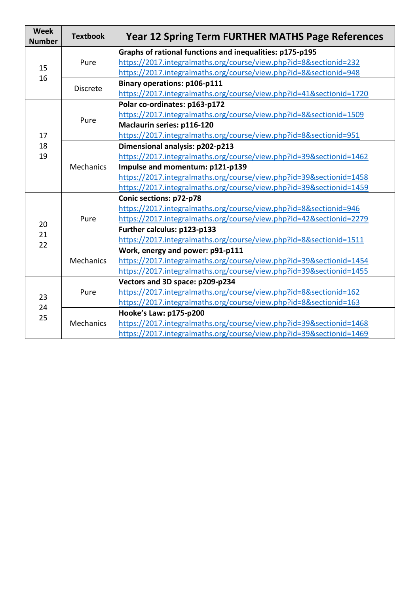| <b>Week</b><br><b>Number</b> | <b>Textbook</b>  | <b>Year 12 Spring Term FURTHER MATHS Page References</b>            |
|------------------------------|------------------|---------------------------------------------------------------------|
| 15<br>16                     | Pure             | Graphs of rational functions and inequalities: p175-p195            |
|                              |                  | https://2017.integralmaths.org/course/view.php?id=8&sectionid=232   |
|                              |                  | https://2017.integralmaths.org/course/view.php?id=8&sectionid=948   |
|                              | <b>Discrete</b>  | <b>Binary operations: p106-p111</b>                                 |
|                              |                  | https://2017.integralmaths.org/course/view.php?id=41&sectionid=1720 |
| 17                           | Pure             | Polar co-ordinates: p163-p172                                       |
|                              |                  | https://2017.integralmaths.org/course/view.php?id=8&sectionid=1509  |
|                              |                  | Maclaurin series: p116-120                                          |
|                              |                  | https://2017.integralmaths.org/course/view.php?id=8&sectionid=951   |
| 18                           | <b>Mechanics</b> | Dimensional analysis: p202-p213                                     |
| 19                           |                  | https://2017.integralmaths.org/course/view.php?id=39&sectionid=1462 |
|                              |                  | Impulse and momentum: p121-p139                                     |
|                              |                  | https://2017.integralmaths.org/course/view.php?id=39&sectionid=1458 |
|                              |                  | https://2017.integralmaths.org/course/view.php?id=39&sectionid=1459 |
|                              | Pure             | Conic sections: p72-p78                                             |
|                              |                  | https://2017.integralmaths.org/course/view.php?id=8&sectionid=946   |
|                              |                  | https://2017.integralmaths.org/course/view.php?id=42&sectionid=2279 |
| 20<br>21<br>22               |                  | Further calculus: p123-p133                                         |
|                              |                  | https://2017.integralmaths.org/course/view.php?id=8&sectionid=1511  |
|                              | Mechanics        | Work, energy and power: p91-p111                                    |
|                              |                  | https://2017.integralmaths.org/course/view.php?id=39&sectionid=1454 |
|                              |                  | https://2017.integralmaths.org/course/view.php?id=39&sectionid=1455 |
|                              | Pure             | Vectors and 3D space: p209-p234                                     |
| 23<br>24<br>25               |                  | https://2017.integralmaths.org/course/view.php?id=8&sectionid=162   |
|                              |                  | https://2017.integralmaths.org/course/view.php?id=8&sectionid=163   |
|                              | <b>Mechanics</b> | Hooke's Law: p175-p200                                              |
|                              |                  | https://2017.integralmaths.org/course/view.php?id=39&sectionid=1468 |
|                              |                  | https://2017.integralmaths.org/course/view.php?id=39&sectionid=1469 |